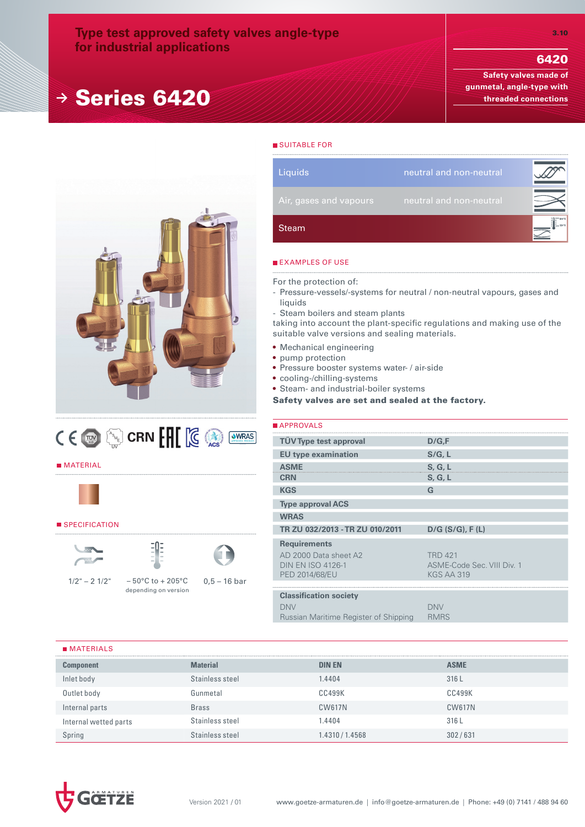## **Type test approved safety valves angle-type for industrial applications**

## **<sup>→</sup>** Series 6420

3.10

**Safety valves made of gunmetal, angle-type with threaded connections**





## **MATERIAL**



## **SPECIFICATION**





 $1/2^{\circ}$  – 2  $1/2^{\circ}$  – 50°C to + 205°C



0,5 – 16 bar

# **Steam** Liquids **neutral and non-neutral**

## **EXAMPLES OF USE**

**SUITABLE FOR** 

For the protection of:

- Pressure-vessels/-systems for neutral / non-neutral vapours, gases and liquids
- Steam boilers and steam plants

taking into account the plant-specific regulations and making use of the suitable valve versions and sealing materials.

- Mechanical engineering
- pump protection
- Pressure booster systems water- / air-side
- cooling-/chilling-systems
- Steam- and industrial-boiler systems

Safety valves are set and sealed at the factory.

| APPROVALS                                                                                         |                                                                   |
|---------------------------------------------------------------------------------------------------|-------------------------------------------------------------------|
| <b>TÜV Type test approval</b>                                                                     | D/G,F                                                             |
| <b>EU type examination</b>                                                                        | S/G, L                                                            |
| <b>ASME</b>                                                                                       | S, G, L                                                           |
| <b>CRN</b>                                                                                        | S, G, L                                                           |
| <b>KGS</b>                                                                                        | G                                                                 |
| <b>Type approval ACS</b>                                                                          |                                                                   |
| <b>WRAS</b>                                                                                       |                                                                   |
|                                                                                                   |                                                                   |
| TR ZU 032/2013 - TR ZU 010/2011                                                                   | $D/G$ (S/G), F(L)                                                 |
| <b>Requirements</b><br>AD 2000 Data sheet A2<br><b>DIN EN ISO 4126-1</b><br><b>PED 2014/68/EU</b> | <b>TRD 421</b><br>ASME-Code Sec. VIII Div. 1<br><b>KGS AA 319</b> |
|                                                                                                   |                                                                   |
| <b>Classification society</b><br><b>DNV</b><br>Russian Maritime Register of Shipping              | <b>DNV</b><br><b>RMRS</b>                                         |

## **MATERIALS**

| _________________     |                 |                 |             |
|-----------------------|-----------------|-----------------|-------------|
| <b>Component</b>      | <b>Material</b> | <b>DIN EN</b>   | <b>ASME</b> |
| Inlet body            | Stainless steel | 1.4404          | 316L        |
| Outlet body           | Gunmetal        | <b>CC499K</b>   | CC499K      |
| Internal parts        | <b>Brass</b>    | <b>CW617N</b>   | CW617N      |
| Internal wetted parts | Stainless steel | .4404           | 316L        |
| Spring                | Stainless steel | 1.4310 / 1.4568 | 302/631     |

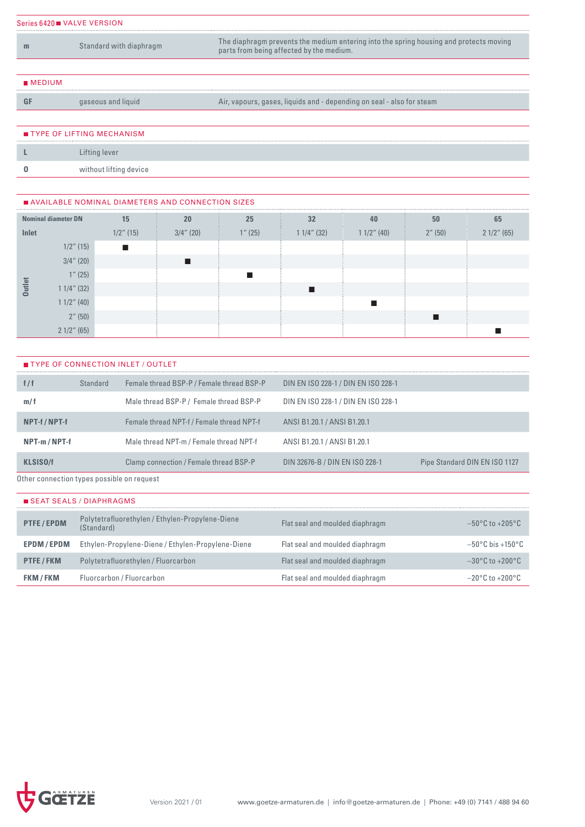| Series 6420 VALVE VERSION |                         |                                                                                                                                    |  |  |  |  |  |  |  |  |
|---------------------------|-------------------------|------------------------------------------------------------------------------------------------------------------------------------|--|--|--|--|--|--|--|--|
| ш                         | Standard with diaphragm | The diaphragm prevents the medium entering into the spring housing and protects moving<br>parts from being affected by the medium. |  |  |  |  |  |  |  |  |
|                           |                         |                                                                                                                                    |  |  |  |  |  |  |  |  |
| $M$ MEDIUM                |                         |                                                                                                                                    |  |  |  |  |  |  |  |  |

GF gaseous and liquid Air, vapours, gases, liquids and - depending on seal - also for steam

TYPE OF LIFTING MECHANISM **L** Lifting lever **O** without lifting device

| AVAILABLE NOMINAL DIAMETERS AND CONNECTION SIZES |  |
|--------------------------------------------------|--|
|                                                  |  |

| <b>Nominal diameter DN</b> |               | 15           | 20           | 25      | 32            | 40            | 50      | 65            |
|----------------------------|---------------|--------------|--------------|---------|---------------|---------------|---------|---------------|
| Inlet                      |               | $1/2$ " (15) | $3/4$ " (20) | 1''(25) | $11/4$ " (32) | $11/2$ " (40) | 2''(50) | $21/2$ " (65) |
|                            | $1/2$ " (15)  |              |              |         |               |               |         |               |
|                            | $3/4$ " (20)  |              |              |         |               |               |         |               |
|                            | 1''(25)       |              |              |         |               |               |         |               |
| <b>Outlet</b>              | $11/4$ " (32) |              |              |         |               |               |         |               |
|                            | $11/2$ " (40) |              |              |         |               |               |         |               |
|                            | 2''(50)       |              |              |         |               |               |         |               |
|                            | $21/2$ " (65) |              |              |         |               |               |         |               |

| <b>TYPE OF CONNECTION INLET / OUTLET</b> |  |  |  |  |
|------------------------------------------|--|--|--|--|
|------------------------------------------|--|--|--|--|

| f/f                                                                                                            | Standard | Female thread BSP-P / Female thread BSP-P | DIN EN ISO 228-1 / DIN EN ISO 228-1 |                               |
|----------------------------------------------------------------------------------------------------------------|----------|-------------------------------------------|-------------------------------------|-------------------------------|
| m/f                                                                                                            |          | Male thread BSP-P / Female thread BSP-P   | DIN EN ISO 228-1 / DIN EN ISO 228-1 |                               |
| NPT-f / NPT-f                                                                                                  |          | Female thread NPT-f / Female thread NPT-f | ANSI B1.20.1 / ANSI B1.20.1         |                               |
| NPT-m/NPT-f                                                                                                    |          | Male thread NPT-m / Female thread NPT-f   | ANSI B1.20.1 / ANSI B1.20.1         |                               |
| <b>KLSISO/f</b>                                                                                                |          | Clamp connection / Female thread BSP-P    | DIN 32676-B / DIN EN ISO 228-1      | Pipe Standard DIN EN ISO 1127 |
| Ostrono de la castrona de la casa de la castrona de la castrona de la constitución de la constitución de la co |          |                                           |                                     |                               |

Other connection types possible on request

| <b>SEAT SEALS / DIAPHRAGMS</b> |                                                               |                                 |                                       |  |  |  |  |  |  |  |  |
|--------------------------------|---------------------------------------------------------------|---------------------------------|---------------------------------------|--|--|--|--|--|--|--|--|
| <b>PTFE/EPDM</b>               | Polytetrafluorethylen / Ethylen-Propylene-Diene<br>(Standard) | Flat seal and moulded diaphragm | $-50^{\circ}$ C to $+205^{\circ}$ C   |  |  |  |  |  |  |  |  |
| <b>EPDM/EPDM</b>               | Ethylen-Propylene-Diene / Ethylen-Propylene-Diene             | Flat seal and moulded diaphragm | $-50^{\circ}$ C bis +150 $^{\circ}$ C |  |  |  |  |  |  |  |  |
| <b>PTFE/FKM</b>                | Polytetrafluorethylen / Fluorcarbon                           | Flat seal and moulded diaphragm | $-30^{\circ}$ C to $+200^{\circ}$ C   |  |  |  |  |  |  |  |  |
| <b>FKM/FKM</b>                 | Fluorcarbon / Fluorcarbon                                     | Flat seal and moulded diaphragm | $-20^{\circ}$ C to $+200^{\circ}$ C   |  |  |  |  |  |  |  |  |

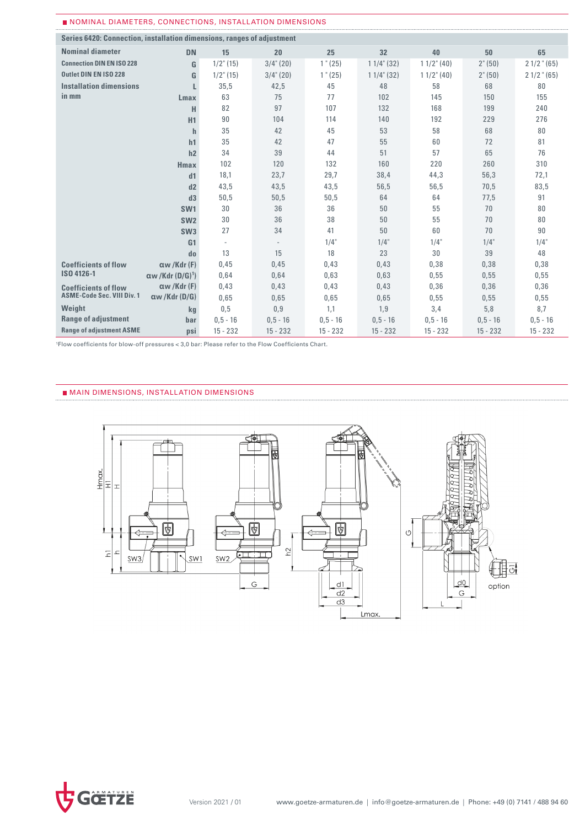| NOMINAL DIAMETERS, CONNECTIONS, INSTALLATION DIMENSIONS                |                                      |              |              |            |               |               |                  |               |
|------------------------------------------------------------------------|--------------------------------------|--------------|--------------|------------|---------------|---------------|------------------|---------------|
| Series 6420: Connection, installation dimensions, ranges of adjustment |                                      |              |              |            |               |               |                  |               |
| <b>Nominal diameter</b>                                                | <b>DN</b>                            | 15           | 20           | 25         | 32            | 40            | 50               | 65            |
| <b>Connection DIN EN ISO 228</b>                                       | G                                    | $1/2$ " (15) | $3/4$ " (20) | 1" (25)    | $11/4$ " (32) | $11/2$ " (40) | $2^{\circ} (50)$ | $21/2$ " (65) |
| <b>Outlet DIN EN ISO 228</b>                                           | G                                    | $1/2$ " (15) | $3/4$ " (20) | 1" (25)    | $11/4$ " (32) | $11/2$ " (40) | $2^{\circ} (50)$ | $21/2$ " (65) |
| <b>Installation dimensions</b>                                         | L                                    | 35,5         | 42,5         | 45         | 48            | 58            | 68               | 80            |
| in mm                                                                  | <b>Lmax</b>                          | 63           | 75           | 77         | 102           | 145           | 150              | 155           |
|                                                                        | н                                    | 82           | 97           | 107        | 132           | 168           | 199              | 240           |
|                                                                        | H1                                   | 90           | 104          | 114        | 140           | 192           | 229              | 276           |
|                                                                        | $\mathbf{h}$                         | 35           | 42           | 45         | 53            | 58            | 68               | 80            |
|                                                                        | h1                                   | 35           | 42           | 47         | 55            | 60            | 72               | 81            |
|                                                                        | h2                                   | 34           | 39           | 44         | 51            | 57            | 65               | 76            |
|                                                                        | <b>Hmax</b>                          | 102          | 120          | 132        | 160           | 220           | 260              | 310           |
|                                                                        | d1                                   | 18,1         | 23,7         | 29,7       | 38,4          | 44,3          | 56,3             | 72,1          |
|                                                                        | d2                                   | 43,5         | 43,5         | 43,5       | 56,5          | 56,5          | 70,5             | 83,5          |
|                                                                        | d3                                   | 50,5         | 50,5         | 50,5       | 64            | 64            | 77,5             | 91            |
|                                                                        | SW <sub>1</sub>                      | 30           | 36           | 36         | 50            | 55            | 70               | 80            |
|                                                                        | SW <sub>2</sub>                      | 30           | 36           | 38         | 50            | 55            | 70               | 80            |
|                                                                        | SW <sub>3</sub>                      | 27           | 34           | 41         | 50            | 60            | 70               | 90            |
|                                                                        | G <sub>1</sub>                       | ٠            | $\sim$       | $1/4$ "    | $1/4$ "       | $1/4$ "       | $1/4$ "          | 1/4"          |
|                                                                        | do                                   | 13           | 15           | 18         | 23            | 30            | 39               | 48            |
| <b>Coefficients of flow</b>                                            | $\alpha$ w /Kdr (F)                  | 0,45         | 0,45         | 0,43       | 0,43          | 0,38          | 0,38             | 0,38          |
| ISO 4126-1                                                             | $\alpha w$ /Kdr (D/G) <sup>1</sup> ) | 0.64         | 0.64         | 0.63       | 0.63          | 0.55          | 0.55             | 0,55          |
| <b>Coefficients of flow</b>                                            | aw/Kdr(F)                            | 0,43         | 0,43         | 0,43       | 0.43          | 0.36          | 0,36             | 0,36          |
| <b>ASME-Code Sec. VIII Div. 1</b>                                      | $\alpha$ w /Kdr (D/G)                | 0.65         | 0.65         | 0.65       | 0.65          | 0.55          | 0.55             | 0.55          |
| Weight                                                                 | kg                                   | 0,5          | 0,9          | 1,1        | 1,9           | 3,4           | 5,8              | 8,7           |
| <b>Range of adjustment</b>                                             | bar                                  | $0, 5 - 16$  | $0, 5 - 16$  | $0.5 - 16$ | $0.5 - 16$    | $0.5 - 16$    | $0,5 - 16$       | $0, 5 - 16$   |
| <b>Range of adjustment ASME</b>                                        | <b>psi</b>                           | $15 - 232$   | $15 - 232$   | $15 - 232$ | $15 - 232$    | $15 - 232$    | $15 - 232$       | $15 - 232$    |

<sup>1</sup>Flow coefficients for blow-off pressures < 3,0 bar: Please refer to the Flow Coefficients Chart.

## **MAIN DIMENSIONS, INSTALLATION DIMENSIONS**



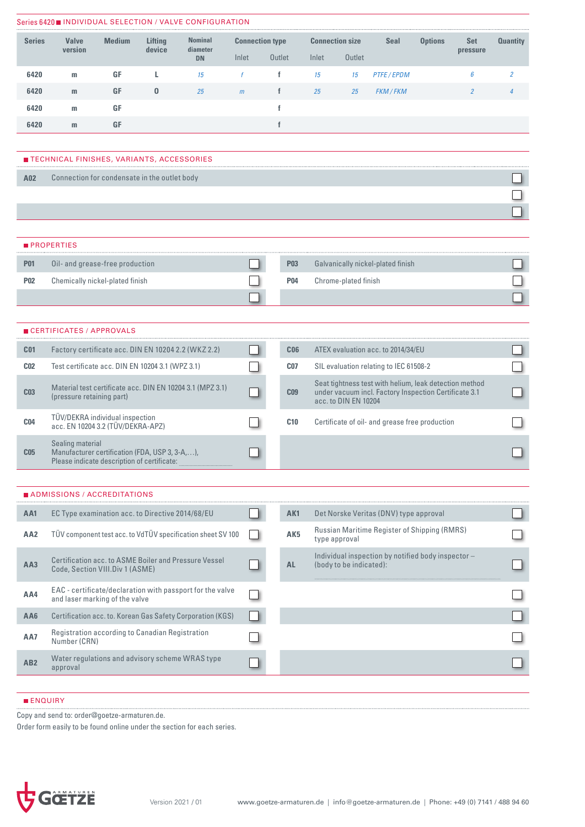|                 |                                                                                               |               |          | Series 6420 INDIVIDUAL SELECTION / VALVE CONFIGURATION      |                        |              |                 |                                                                               |                                        |                                                        |                |                |                 |
|-----------------|-----------------------------------------------------------------------------------------------|---------------|----------|-------------------------------------------------------------|------------------------|--------------|-----------------|-------------------------------------------------------------------------------|----------------------------------------|--------------------------------------------------------|----------------|----------------|-----------------|
| <b>Series</b>   | <b>Valve</b>                                                                                  | <b>Medium</b> | Lifting  | <b>Nominal</b>                                              | <b>Connection type</b> |              |                 |                                                                               | <b>Connection size</b>                 | <b>Seal</b>                                            | <b>Options</b> | <b>Set</b>     | <b>Quantity</b> |
|                 | version                                                                                       |               | device   | diameter<br><b>DN</b>                                       | Inlet                  | Outlet       |                 | Inlet                                                                         | Outlet                                 |                                                        |                | pressure       |                 |
| 6420            | m                                                                                             | GF            | L        | 15                                                          | f                      | f            |                 | 15                                                                            | 15                                     | PTFE/EPDM                                              |                | 6              | $\overline{2}$  |
| 6420            | m                                                                                             | GF            | $\bf{0}$ | 25                                                          | m                      | f            |                 | 25                                                                            | 25                                     | FKM / FKM                                              |                | $\overline{2}$ |                 |
| 6420            | m                                                                                             | GF            |          |                                                             |                        | f            |                 |                                                                               |                                        |                                                        |                |                |                 |
| 6420            | m                                                                                             | GF            |          |                                                             |                        | $\mathbf{f}$ |                 |                                                                               |                                        |                                                        |                |                |                 |
|                 |                                                                                               |               |          |                                                             |                        |              |                 |                                                                               |                                        |                                                        |                |                |                 |
|                 | ■ TECHNICAL FINISHES, VARIANTS, ACCESSORIES                                                   |               |          |                                                             |                        |              |                 |                                                                               |                                        |                                                        |                |                |                 |
| A02             | Connection for condensate in the outlet body                                                  |               |          |                                                             |                        |              |                 |                                                                               |                                        |                                                        |                |                |                 |
|                 |                                                                                               |               |          |                                                             |                        |              |                 |                                                                               |                                        |                                                        |                |                |                 |
|                 |                                                                                               |               |          |                                                             |                        |              |                 |                                                                               |                                        |                                                        |                |                |                 |
|                 |                                                                                               |               |          |                                                             |                        |              |                 |                                                                               |                                        |                                                        |                |                |                 |
|                 | <b>■ PROPERTIES</b>                                                                           |               |          |                                                             |                        |              |                 |                                                                               |                                        |                                                        |                |                |                 |
| <b>P01</b>      | Oil- and grease-free production                                                               |               |          |                                                             |                        |              | <b>P03</b>      |                                                                               |                                        | Galvanically nickel-plated finish                      |                |                |                 |
| <b>P02</b>      | Chemically nickel-plated finish                                                               |               |          |                                                             |                        |              | P04             |                                                                               | Chrome-plated finish                   |                                                        |                |                |                 |
|                 |                                                                                               |               |          |                                                             |                        |              |                 |                                                                               |                                        |                                                        |                |                |                 |
|                 | ■ CERTIFICATES / APPROVALS                                                                    |               |          |                                                             |                        |              |                 |                                                                               |                                        |                                                        |                |                |                 |
| C <sub>01</sub> |                                                                                               |               |          | Factory certificate acc. DIN EN 10204 2.2 (WKZ 2.2)         |                        |              | C <sub>06</sub> |                                                                               |                                        | ATEX evaluation acc. to 2014/34/EU                     |                |                |                 |
| <b>CO2</b>      | Test certificate acc. DIN EN 10204 3.1 (WPZ 3.1)                                              |               |          |                                                             |                        |              | C <sub>07</sub> |                                                                               | SIL evaluation relating to IEC 61508-2 |                                                        |                |                |                 |
|                 |                                                                                               |               |          |                                                             |                        |              |                 |                                                                               |                                        | Seat tightness test with helium, leak detection method |                |                |                 |
| C <sub>03</sub> | (pressure retaining part)                                                                     |               |          | Material test certificate acc. DIN EN 10204 3.1 (MPZ 3.1)   |                        |              | C <sub>09</sub> | under vacuum incl. Factory Inspection Certificate 3.1<br>acc. to DIN EN 10204 |                                        |                                                        |                |                |                 |
| C <sub>04</sub> | TÜV/DEKRA individual inspection<br>acc. EN 10204 3.2 (TÜV/DEKRA-APZ)                          |               |          |                                                             |                        |              | C10             | Certificate of oil- and grease free production                                |                                        |                                                        |                |                |                 |
|                 | Sealing material                                                                              |               |          |                                                             |                        |              |                 |                                                                               |                                        |                                                        |                |                |                 |
| C <sub>05</sub> | Manufacturer certification (FDA, USP 3, 3-A,),<br>Please indicate description of certificate: |               |          |                                                             |                        |              |                 |                                                                               |                                        |                                                        |                |                |                 |
|                 |                                                                                               |               |          |                                                             |                        |              |                 |                                                                               |                                        |                                                        |                |                |                 |
|                 | ADMISSIONS / ACCREDITATIONS                                                                   |               |          |                                                             |                        |              |                 |                                                                               |                                        |                                                        |                |                |                 |
| AA1             | EC Type examination acc. to Directive 2014/68/EU                                              |               |          |                                                             |                        |              | AK1             |                                                                               |                                        | Det Norske Veritas (DNV) type approval                 |                |                |                 |
| AA2             |                                                                                               |               |          | TÜV component test acc. to VdTÜV specification sheet SV 100 |                        |              | AK <sub>5</sub> |                                                                               | type approval                          | Russian Maritime Register of Shipping (RMRS)           |                |                |                 |
|                 |                                                                                               |               |          | Certification acc. to ASME Boiler and Pressure Vessel       |                        |              |                 |                                                                               |                                        | Individual inspection by notified body inspector-      |                |                |                 |
| AA3             | Code, Section VIII.Div 1 (ASME)                                                               |               |          |                                                             |                        |              | <b>AL</b>       |                                                                               | (body to be indicated):                |                                                        |                |                |                 |
| AA4             | and laser marking of the valve                                                                |               |          | EAC - certificate/declaration with passport for the valve   |                        |              |                 |                                                                               |                                        |                                                        |                |                |                 |
| AA6             |                                                                                               |               |          | Certification acc. to. Korean Gas Safety Corporation (KGS)  |                        |              |                 |                                                                               |                                        |                                                        |                |                |                 |
| AA7             | Registration according to Canadian Registration<br>Number (CRN)                               |               |          |                                                             |                        |              |                 |                                                                               |                                        |                                                        |                |                |                 |
| AB <sub>2</sub> | approval                                                                                      |               |          | Water regulations and advisory scheme WRAS type             |                        |              |                 |                                                                               |                                        |                                                        |                |                |                 |
|                 |                                                                                               |               |          |                                                             |                        |              |                 |                                                                               |                                        |                                                        |                |                |                 |

## **ENQUIRY**

Copy and send to: order@goetze-armaturen.de.

Order form easily to be found online under the section for each series.

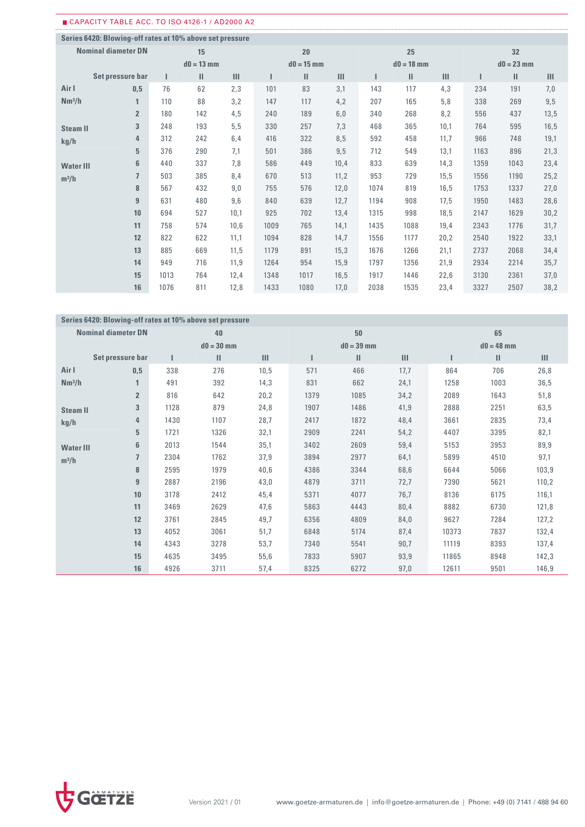## CAPACITY TABLE ACC. TO ISO 4126-1 / AD2000 A2

|                    | Series 6420: Blowing-off rates at 10% above set pressure |      |              |      |      |              |      |      |               |                |      |              |      |
|--------------------|----------------------------------------------------------|------|--------------|------|------|--------------|------|------|---------------|----------------|------|--------------|------|
|                    | <b>Nominal diameter DN</b>                               |      | 15           |      |      | 20           |      |      | 25            |                |      | 32           |      |
|                    |                                                          |      | $d0 = 13$ mm |      |      | $d0 = 15$ mm |      |      | $d0 = 18$ mm  |                |      | $d0 = 23$ mm |      |
|                    | Set pressure bar                                         |      | $\mathbf{H}$ | III  |      | Ш            | III  |      | $\mathbf{II}$ | $\mathbf{III}$ |      | Ш            | Ш    |
| Air I              | 0,5                                                      | 76   | 62           | 2,3  | 101  | 83           | 3,1  | 143  | 117           | 4,3            | 234  | 191          | 7,0  |
| Nm <sup>3</sup> /h | 1                                                        | 110  | 88           | 3,2  | 147  | 117          | 4,2  | 207  | 165           | 5,8            | 338  | 269          | 9,5  |
|                    | $\overline{2}$                                           | 180  | 142          | 4,5  | 240  | 189          | 6,0  | 340  | 268           | 8,2            | 556  | 437          | 13,5 |
| <b>Steam II</b>    | 3                                                        | 248  | 193          | 5,5  | 330  | 257          | 7,3  | 468  | 365           | 10,1           | 764  | 595          | 16,5 |
| kg/h               | 4                                                        | 312  | 242          | 6,4  | 416  | 322          | 8,5  | 592  | 458           | 11,7           | 966  | 748          | 19,1 |
|                    | 5                                                        | 376  | 290          | 7,1  | 501  | 386          | 9,5  | 712  | 549           | 13,1           | 1163 | 896          | 21,3 |
| <b>Water III</b>   | 6                                                        | 440  | 337          | 7,8  | 586  | 449          | 10,4 | 833  | 639           | 14,3           | 1359 | 1043         | 23,4 |
| $m^3/h$            | $\overline{1}$                                           | 503  | 385          | 8,4  | 670  | 513          | 11,2 | 953  | 729           | 15,5           | 1556 | 1190         | 25,2 |
|                    | 8                                                        | 567  | 432          | 9,0  | 755  | 576          | 12,0 | 1074 | 819           | 16,5           | 1753 | 1337         | 27,0 |
|                    | $\overline{9}$                                           | 631  | 480          | 9,6  | 840  | 639          | 12,7 | 1194 | 908           | 17,5           | 1950 | 1483         | 28,6 |
|                    | 10                                                       | 694  | 527          | 10,1 | 925  | 702          | 13,4 | 1315 | 998           | 18,5           | 2147 | 1629         | 30,2 |
|                    | 11                                                       | 758  | 574          | 10,6 | 1009 | 765          | 14,1 | 1435 | 1088          | 19,4           | 2343 | 1776         | 31,7 |
|                    | 12                                                       | 822  | 622          | 11,1 | 1094 | 828          | 14,7 | 1556 | 1177          | 20,2           | 2540 | 1922         | 33,1 |
|                    | 13                                                       | 885  | 669          | 11,5 | 1179 | 891          | 15,3 | 1676 | 1266          | 21,1           | 2737 | 2068         | 34,4 |
|                    | 14                                                       | 949  | 716          | 11,9 | 1264 | 954          | 15,9 | 1797 | 1356          | 21,9           | 2934 | 2214         | 35,7 |
|                    | 15                                                       | 1013 | 764          | 12,4 | 1348 | 1017         | 16,5 | 1917 | 1446          | 22,6           | 3130 | 2361         | 37,0 |
|                    | 16                                                       | 1076 | 811          | 12,8 | 1433 | 1080         | 17,0 | 2038 | 1535          | 23,4           | 3327 | 2507         | 38,2 |

### **Series 6420: Blowing-off rates at 10% above set pressure Nominal diameter DN Set pressure bar Air I Nm³/h Steam II kg/h Water III m³/h 40 50 65 d0 = 30 mm d0 = 39 mm d0 = 48 mm I II III I II III I II III 0,5** 338 276 10,5 571 466 17,7 864 706 26,8 **1** 491 392 14,3 831 662 24,1 1258 1003 36,5 **2** 816 642 20,2 1379 1085 34,2 2089 1643 51,8 **3** 1128 879 24,8 1907 1486 41,9 2888 2251 63,5 **4** 1430 1107 28,7 2417 1872 48,4 3661 2835 73,4 **5** 1721 1326 32,1 2909 2241 54,2 4407 3395 82,1 **6** 2013 1544 35,1 3402 2609 59,4 5153 3953 89,9 **7** 2304 1762 37,9 3894 2977 64,1 5899 4510 97,1 **8** 2595 1979 40,6 4386 3344 68,6 6644 5066 103,9 **9** 2887 2196 43,0 4879 3711 72,7 7390 5621 110,2 **10** 3178 2412 45,4 5371 4077 76,7 8136 6175 116,1 **11** 3469 2629 47,6 5863 4443 80,4 8882 6730 121,8 **12** 3761 2845 49,7 6356 4809 84,0 9627 7284 127,2 **13** 4052 3061 51,7 6848 5174 87,4 10373 7837 132,4 **14** 4343 3278 53,7 7340 5541 90,7 11119 8393 137,4 **15** 4635 3495 55,6 7833 5907 93,9 11865 8948 142,3 **16** 4926 3711 57,4 8325 6272 97,0 12611 9501 146,9